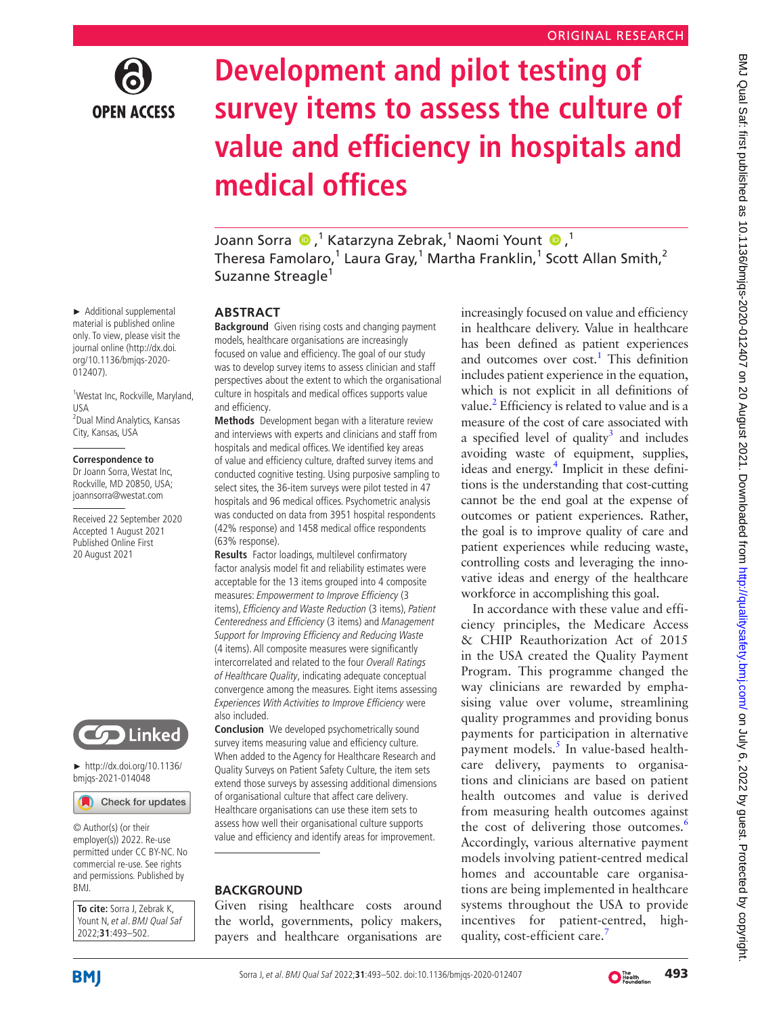

# **Development and pilot testing of survey items to assess the culture of value and efficiency in hospitals and medical offices**

JoannSorra (D, 1 Katarzyna Zebrak, 1 Naomi Yount (D, 1 Theresa Famolaro, $^1$  Laura Gray, $^1$  Martha Franklin, $^1$  Scott Allan Smith, $^2$ Suzanne Streagle<sup>1</sup>

# **ABSTRACT**

**Background** Given rising costs and changing payment models, healthcare organisations are increasingly focused on value and efficiency. The goal of our study was to develop survey items to assess clinician and staff perspectives about the extent to which the organisational culture in hospitals and medical offices supports value and efficiency.

**Methods** Development began with a literature review and interviews with experts and clinicians and staff from hospitals and medical offices. We identified key areas of value and efficiency culture, drafted survey items and conducted cognitive testing. Using purposive sampling to select sites, the 36-item surveys were pilot tested in 47 hospitals and 96 medical offices. Psychometric analysis was conducted on data from 3951 hospital respondents (42% response) and 1458 medical office respondents (63% response).

**Results** Factor loadings, multilevel confirmatory factor analysis model fit and reliability estimates were acceptable for the 13 items grouped into 4 composite measures: Empowerment to Improve Efficiency (3 items), Efficiency and Waste Reduction (3 items), Patient Centeredness and Efficiency (3 items) and Management Support for Improving Efficiency and Reducing Waste (4 items). All composite measures were significantly intercorrelated and related to the four Overall Ratings of Healthcare Quality, indicating adequate conceptual convergence among the measures. Eight items assessing Experiences With Activities to Improve Efficiency were also included.

**Conclusion** We developed psychometrically sound survey items measuring value and efficiency culture. When added to the Agency for Healthcare Research and Quality Surveys on Patient Safety Culture, the item sets extend those surveys by assessing additional dimensions of organisational culture that affect care delivery. Healthcare organisations can use these item sets to assess how well their organisational culture supports value and efficiency and identify areas for improvement.

# **BACKGROUND**

Given rising healthcare costs around the world, governments, policy makers, payers and healthcare organisations are increasingly focused on value and efficiency in healthcare delivery. Value in healthcare has been defined as patient experiences and outcomes over cost.<sup>[1](#page-8-0)</sup> This definition includes patient experience in the equation, which is not explicit in all definitions of value.<sup>2</sup> Efficiency is related to value and is a measure of the cost of care associated with a specified level of quality<sup>3</sup> and includes avoiding waste of equipment, supplies, ideas and energy.<sup>[4](#page-9-1)</sup> Implicit in these definitions is the understanding that cost-cutting cannot be the end goal at the expense of outcomes or patient experiences. Rather, the goal is to improve quality of care and patient experiences while reducing waste, controlling costs and leveraging the innovative ideas and energy of the healthcare workforce in accomplishing this goal.

In accordance with these value and efficiency principles, the Medicare Access & CHIP Reauthorization Act of 2015 in the USA created the Quality Payment Program. This programme changed the way clinicians are rewarded by emphasising value over volume, streamlining quality programmes and providing bonus payments for participation in alternative payment models.<sup>[5](#page-9-2)</sup> In value-based healthcare delivery, payments to organisations and clinicians are based on patient health outcomes and value is derived from measuring health outcomes against the cost of delivering those outcomes.<sup>[6](#page-9-3)</sup> Accordingly, various alternative payment models involving patient-centred medical homes and accountable care organisations are being implemented in healthcare systems throughout the USA to provide incentives for patient-centred, high-quality, cost-efficient care.<sup>[7](#page-9-4)</sup>

► Additional supplemental material is published online only. To view, please visit the journal online (http://dx.doi. org/10.1136/bmjqs-2020- 012407).

<sup>1</sup>Westat Inc, Rockville, Maryland, USA 2 Dual Mind Analytics, Kansas City, Kansas, USA

#### **Correspondence to**

Dr Joann Sorra, Westat Inc, Rockville, MD 20850, USA; joannsorra@westat.com

Received 22 September 2020 Accepted 1 August 2021 Published Online First 20 August 2021



► [http://dx.doi.org/10.1136/](http://dx.doi.org/10.1136/bmjqs-2021-014048) [bmjqs-2021-014048](http://dx.doi.org/10.1136/bmjqs-2021-014048)

Check for updates

© Author(s) (or their employer(s)) 2022. Re-use permitted under CC BY-NC. No commercial re-use. See rights and permissions. Published by BMJ.

**To cite:** Sorra J, Zebrak K, Yount N, et al. BMJ Qual Saf 2022;**31**:493–502.

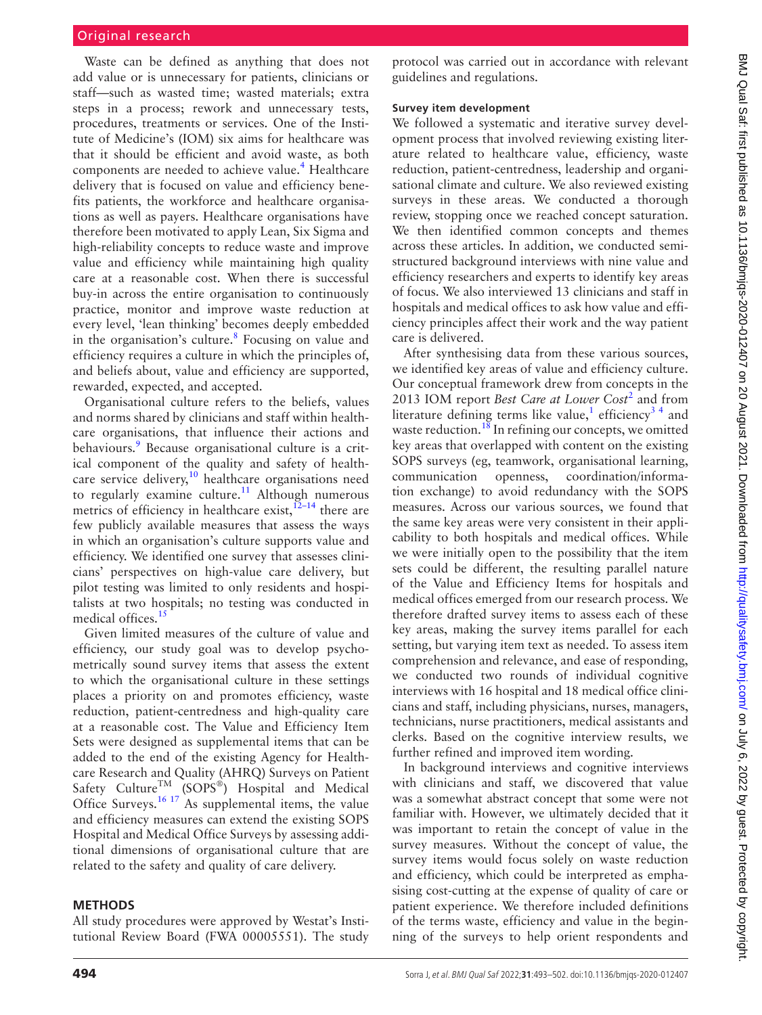# Original research

Waste can be defined as anything that does not add value or is unnecessary for patients, clinicians or staff—such as wasted time; wasted materials; extra steps in a process; rework and unnecessary tests, procedures, treatments or services. One of the Institute of Medicine's (IOM) six aims for healthcare was that it should be efficient and avoid waste, as both components are needed to achieve value.<sup>[4](#page-9-1)</sup> Healthcare delivery that is focused on value and efficiency benefits patients, the workforce and healthcare organisations as well as payers. Healthcare organisations have therefore been motivated to apply Lean, Six Sigma and high-reliability concepts to reduce waste and improve value and efficiency while maintaining high quality care at a reasonable cost. When there is successful buy-in across the entire organisation to continuously practice, monitor and improve waste reduction at every level, 'lean thinking' becomes deeply embedded in the organisation's culture.<sup>[8](#page-9-5)</sup> Focusing on value and efficiency requires a culture in which the principles of, and beliefs about, value and efficiency are supported, rewarded, expected, and accepted.

Organisational culture refers to the beliefs, values and norms shared by clinicians and staff within healthcare organisations, that influence their actions and behaviours.<sup>9</sup> Because organisational culture is a critical component of the quality and safety of health-care service delivery,<sup>[10](#page-9-7)</sup> healthcare organisations need to regularly examine culture.<sup>11</sup> Although numerous metrics of efficiency in healthcare exist,  $12-14$  there are few publicly available measures that assess the ways in which an organisation's culture supports value and efficiency. We identified one survey that assesses clinicians' perspectives on high-value care delivery, but pilot testing was limited to only residents and hospitalists at two hospitals; no testing was conducted in medical offices[.15](#page-9-10)

Given limited measures of the culture of value and efficiency, our study goal was to develop psychometrically sound survey items that assess the extent to which the organisational culture in these settings places a priority on and promotes efficiency, waste reduction, patient-centredness and high-quality care at a reasonable cost. The Value and Efficiency Item Sets were designed as supplemental items that can be added to the end of the existing Agency for Healthcare Research and Quality (AHRQ) Surveys on Patient Safety Culture<sup>TM</sup> (SOPS<sup>®</sup>) Hospital and Medical Office Surveys.<sup>[16 17](#page-9-11)</sup> As supplemental items, the value and efficiency measures can extend the existing SOPS Hospital and Medical Office Surveys by assessing additional dimensions of organisational culture that are related to the safety and quality of care delivery.

## **METHODS**

All study procedures were approved by Westat's Institutional Review Board (FWA 00005551). The study

protocol was carried out in accordance with relevant guidelines and regulations.

## **Survey item development**

We followed a systematic and iterative survey development process that involved reviewing existing literature related to healthcare value, efficiency, waste reduction, patient-centredness, leadership and organisational climate and culture. We also reviewed existing surveys in these areas. We conducted a thorough review, stopping once we reached concept saturation. We then identified common concepts and themes across these articles. In addition, we conducted semistructured background interviews with nine value and efficiency researchers and experts to identify key areas of focus. We also interviewed 13 clinicians and staff in hospitals and medical offices to ask how value and efficiency principles affect their work and the way patient care is delivered.

After synthesising data from these various sources, we identified key areas of value and efficiency culture. Our conceptual framework drew from concepts in the 2013 IOM report *Best Care at Lower Cost*[2](#page-8-1) and from literature defining terms like value,<sup>[1](#page-8-0)</sup> efficiency<sup>34</sup> and waste reduction.<sup>18</sup> In refining our concepts, we omitted key areas that overlapped with content on the existing SOPS surveys (eg, teamwork, organisational learning, communication openness, coordination/information exchange) to avoid redundancy with the SOPS measures. Across our various sources, we found that the same key areas were very consistent in their applicability to both hospitals and medical offices. While we were initially open to the possibility that the item sets could be different, the resulting parallel nature of the Value and Efficiency Items for hospitals and medical offices emerged from our research process. We therefore drafted survey items to assess each of these key areas, making the survey items parallel for each setting, but varying item text as needed. To assess item comprehension and relevance, and ease of responding, we conducted two rounds of individual cognitive interviews with 16 hospital and 18 medical office clinicians and staff, including physicians, nurses, managers, technicians, nurse practitioners, medical assistants and clerks. Based on the cognitive interview results, we further refined and improved item wording.

In background interviews and cognitive interviews with clinicians and staff, we discovered that value was a somewhat abstract concept that some were not familiar with. However, we ultimately decided that it was important to retain the concept of value in the survey measures. Without the concept of value, the survey items would focus solely on waste reduction and efficiency, which could be interpreted as emphasising cost-cutting at the expense of quality of care or patient experience. We therefore included definitions of the terms waste, efficiency and value in the beginning of the surveys to help orient respondents and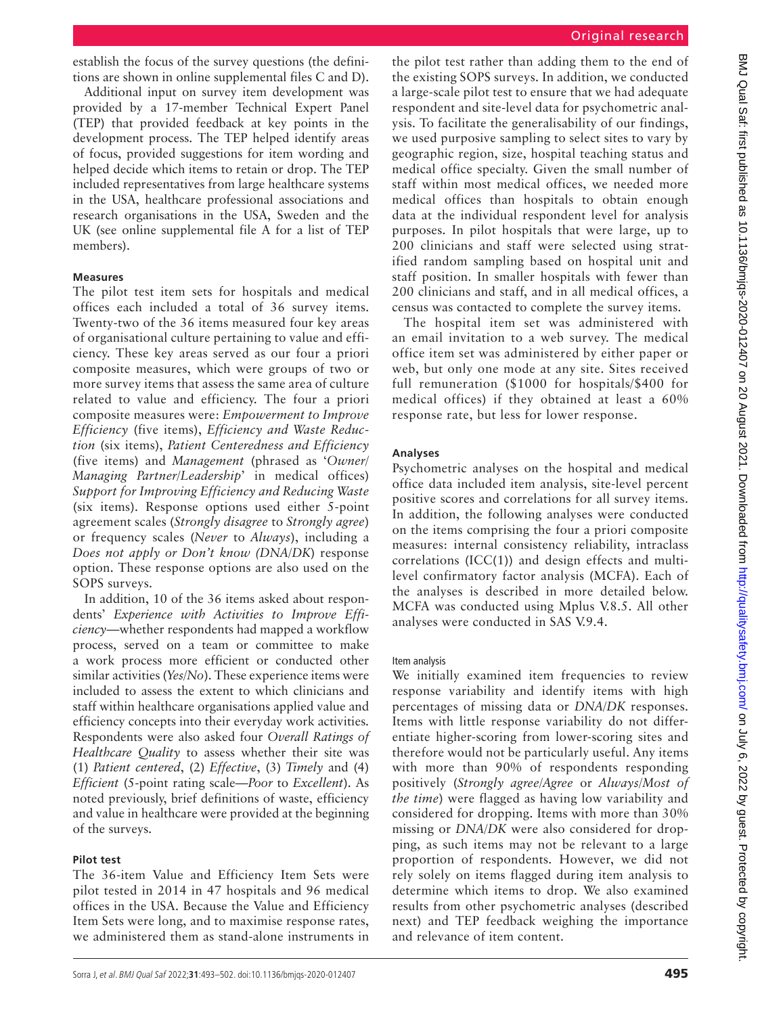establish the focus of the survey questions (the definitions are shown in [online supplemental files C and D\)](https://dx.doi.org/10.1136/bmjqs-2020-012407).

Additional input on survey item development was provided by a 17-member Technical Expert Panel (TEP) that provided feedback at key points in the development process. The TEP helped identify areas of focus, provided suggestions for item wording and helped decide which items to retain or drop. The TEP included representatives from large healthcare systems in the USA, healthcare professional associations and research organisations in the USA, Sweden and the UK (see [online supplemental file A](https://dx.doi.org/10.1136/bmjqs-2020-012407) for a list of TEP members).

## **Measures**

The pilot test item sets for hospitals and medical offices each included a total of 36 survey items. Twenty-two of the 36 items measured four key areas of organisational culture pertaining to value and efficiency. These key areas served as our four a priori composite measures, which were groups of two or more survey items that assess the same area of culture related to value and efficiency. The four a priori composite measures were: *Empowerment to Improve Efficiency* (five items), *Efficiency and Waste Reduction* (six items), *Patient Centeredness and Efficiency* (five items) and *Management* (phrased as '*Owner/ Managing Partner/Leadership*' in medical offices) *Support for Improving Efficiency and Reducing Waste* (six items). Response options used either 5-point agreement scales (*Strongly disagree* to *Strongly agree*) or frequency scales (*Never* to *Always*), including a *Does not apply or Don't know (DNA/DK*) response option. These response options are also used on the SOPS surveys.

In addition, 10 of the 36 items asked about respondents' *Experience with Activities to Improve Efficiency*—whether respondents had mapped a workflow process, served on a team or committee to make a work process more efficient or conducted other similar activities (*Yes/No*). These experience items were included to assess the extent to which clinicians and staff within healthcare organisations applied value and efficiency concepts into their everyday work activities. Respondents were also asked four *Overall Ratings of Healthcare Quality* to assess whether their site was (1) *Patient centered*, (2) *Effective*, (3) *Timely* and (4) *Efficient* (5-point rating scale—*Poor* to *Excellent*). As noted previously, brief definitions of waste, efficiency and value in healthcare were provided at the beginning of the surveys.

## **Pilot test**

The 36-item Value and Efficiency Item Sets were pilot tested in 2014 in 47 hospitals and 96 medical offices in the USA. Because the Value and Efficiency Item Sets were long, and to maximise response rates, we administered them as stand-alone instruments in

the pilot test rather than adding them to the end of the existing SOPS surveys. In addition, we conducted a large-scale pilot test to ensure that we had adequate respondent and site-level data for psychometric analysis. To facilitate the generalisability of our findings, we used purposive sampling to select sites to vary by geographic region, size, hospital teaching status and medical office specialty. Given the small number of staff within most medical offices, we needed more medical offices than hospitals to obtain enough data at the individual respondent level for analysis purposes. In pilot hospitals that were large, up to 200 clinicians and staff were selected using stratified random sampling based on hospital unit and staff position. In smaller hospitals with fewer than 200 clinicians and staff, and in all medical offices, a census was contacted to complete the survey items.

The hospital item set was administered with an email invitation to a web survey. The medical office item set was administered by either paper or web, but only one mode at any site. Sites received full remuneration (\$1000 for hospitals/\$400 for medical offices) if they obtained at least a 60% response rate, but less for lower response.

# **Analyses**

Psychometric analyses on the hospital and medical office data included item analysis, site-level percent positive scores and correlations for all survey items. In addition, the following analyses were conducted on the items comprising the four a priori composite measures: internal consistency reliability, intraclass correlations (ICC(1)) and design effects and multilevel confirmatory factor analysis (MCFA). Each of the analyses is described in more detailed below. MCFA was conducted using Mplus V.8.5. All other analyses were conducted in SAS V.9.4.

## Item analysis

We initially examined item frequencies to review response variability and identify items with high percentages of missing data or *DNA/DK* responses. Items with little response variability do not differentiate higher-scoring from lower-scoring sites and therefore would not be particularly useful. Any items with more than 90% of respondents responding positively (*Strongly agree/Agree* or *Always/Most of the time*) were flagged as having low variability and considered for dropping. Items with more than 30% missing or *DNA/DK* were also considered for dropping, as such items may not be relevant to a large proportion of respondents. However, we did not rely solely on items flagged during item analysis to determine which items to drop. We also examined results from other psychometric analyses (described next) and TEP feedback weighing the importance and relevance of item content.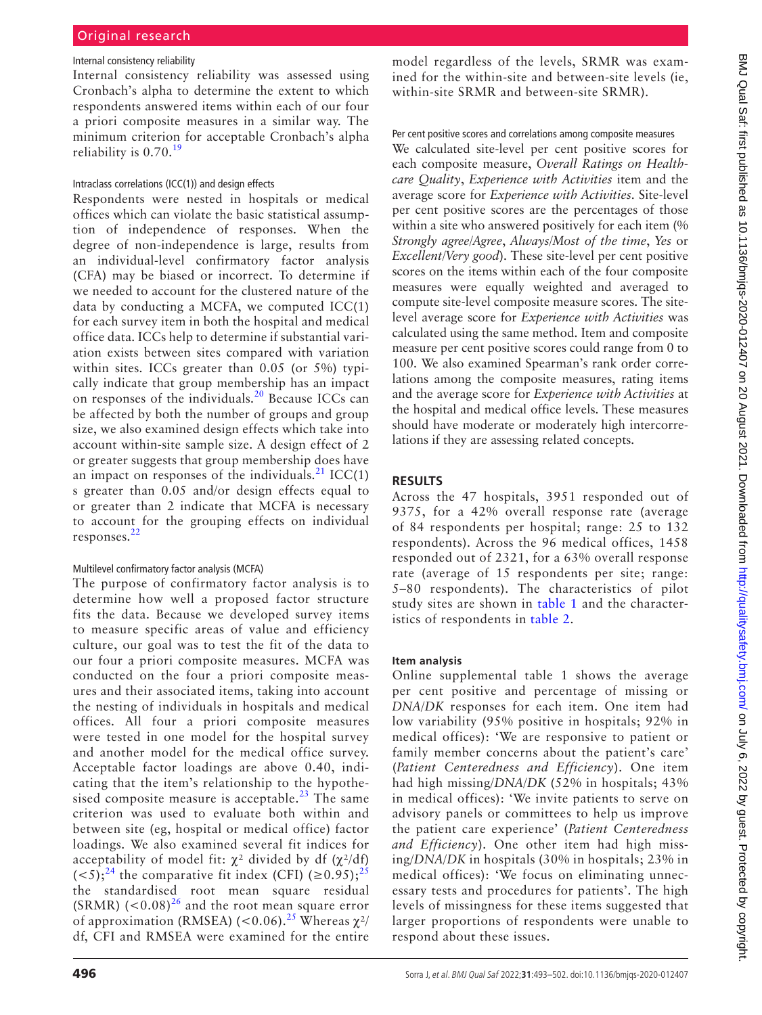## Internal consistency reliability

Internal consistency reliability was assessed using Cronbach's alpha to determine the extent to which respondents answered items within each of our four a priori composite measures in a similar way. The minimum criterion for acceptable Cronbach's alpha reliability is  $0.70^{19}$  $0.70^{19}$  $0.70^{19}$ 

#### Intraclass correlations (ICC(1)) and design effects

Respondents were nested in hospitals or medical offices which can violate the basic statistical assumption of independence of responses. When the degree of non-independence is large, results from an individual-level confirmatory factor analysis (CFA) may be biased or incorrect. To determine if we needed to account for the clustered nature of the data by conducting a MCFA, we computed ICC(1) for each survey item in both the hospital and medical office data. ICCs help to determine if substantial variation exists between sites compared with variation within sites. ICCs greater than 0.05 (or 5%) typically indicate that group membership has an impact on responses of the individuals.<sup>[20](#page-9-14)</sup> Because ICCs can be affected by both the number of groups and group size, we also examined design effects which take into account within-site sample size. A design effect of 2 or greater suggests that group membership does have an impact on responses of the individuals.<sup>[21](#page-9-15)</sup> ICC(1) s greater than 0.05 and/or design effects equal to or greater than 2 indicate that MCFA is necessary to account for the grouping effects on individual responses.<sup>[22](#page-9-16)</sup>

## Multilevel confirmatory factor analysis (MCFA)

The purpose of confirmatory factor analysis is to determine how well a proposed factor structure fits the data. Because we developed survey items to measure specific areas of value and efficiency culture, our goal was to test the fit of the data to our four a priori composite measures. MCFA was conducted on the four a priori composite measures and their associated items, taking into account the nesting of individuals in hospitals and medical offices. All four a priori composite measures were tested in one model for the hospital survey and another model for the medical office survey. Acceptable factor loadings are above 0.40, indicating that the item's relationship to the hypothesised composite measure is acceptable.<sup>23</sup> The same criterion was used to evaluate both within and between site (eg, hospital or medical office) factor loadings. We also examined several fit indices for acceptability of model fit:  $\chi^2$  divided by df ( $\chi^2$ /df)  $(<5)$ ;<sup>[24](#page-9-18)</sup> the comparative fit index (CFI) ( $\geq 0.95$ );<sup>[25](#page-9-19)</sup> the standardised root mean square residual (SRMR)  $(<0.08)^{26}$  and the root mean square error of approximation (RMSEA) (<0.06).<sup>25</sup> Whereas  $\chi^2$ / df, CFI and RMSEA were examined for the entire

model regardless of the levels, SRMR was examined for the within-site and between-site levels (ie, within-site SRMR and between-site SRMR).

Per cent positive scores and correlations among composite measures

We calculated site-level per cent positive scores for each composite measure, *Overall Ratings on Healthcare Quality*, *Experience with Activities* item and the average score for *Experience with Activities*. Site-level per cent positive scores are the percentages of those within a site who answered positively for each item (%) *Strongly agree/Agree*, *Always/Most of the time*, *Yes* or *Excellent/Very good*). These site-level per cent positive scores on the items within each of the four composite measures were equally weighted and averaged to compute site-level composite measure scores. The sitelevel average score for *Experience with Activities* was calculated using the same method. Item and composite measure per cent positive scores could range from 0 to 100. We also examined Spearman's rank order correlations among the composite measures, rating items and the average score for *Experience with Activities* at the hospital and medical office levels. These measures should have moderate or moderately high intercorrelations if they are assessing related concepts.

## **RESULTS**

Across the 47 hospitals, 3951 responded out of 9375, for a 42% overall response rate (average of 84 respondents per hospital; range: 25 to 132 respondents). Across the 96 medical offices, 1458 responded out of 2321, for a 63% overall response rate (average of 15 respondents per site; range: 5–80 respondents). The characteristics of pilot study sites are shown in [table](#page-4-0) 1 and the characteristics of respondents in [table](#page-4-1) 2.

## **Item analysis**

[Online supplemental table 1](https://dx.doi.org/10.1136/bmjqs-2020-012407) shows the average per cent positive and percentage of missing or *DNA*/*DK* responses for each item. One item had low variability (95% positive in hospitals; 92% in medical offices): 'We are responsive to patient or family member concerns about the patient's care' (*Patient Centeredness and Efficiency*). One item had high missing/*DNA/DK* (52% in hospitals; 43% in medical offices): 'We invite patients to serve on advisory panels or committees to help us improve the patient care experience' (*Patient Centeredness and Efficiency*). One other item had high missing/*DNA/DK* in hospitals (30% in hospitals; 23% in medical offices): 'We focus on eliminating unnecessary tests and procedures for patients'. The high levels of missingness for these items suggested that larger proportions of respondents were unable to respond about these issues.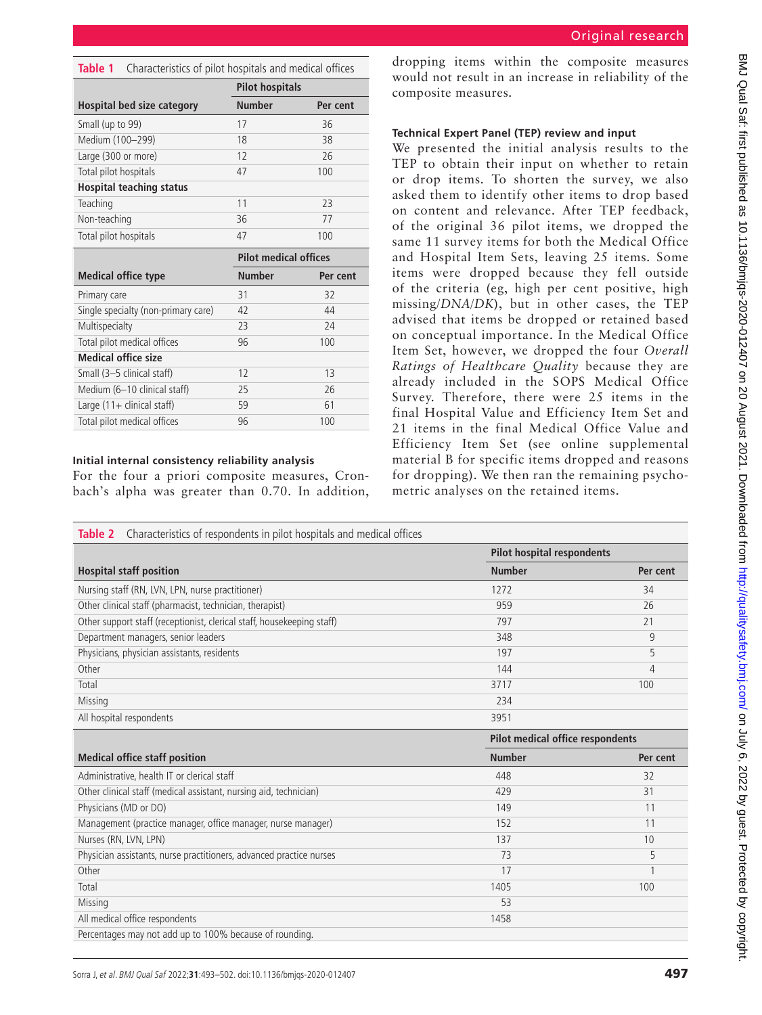<span id="page-4-0"></span>

| Table 1<br>Characteristics of pilot hospitals and medical offices |                              |          |  |  |  |  |  |
|-------------------------------------------------------------------|------------------------------|----------|--|--|--|--|--|
|                                                                   | <b>Pilot hospitals</b>       |          |  |  |  |  |  |
| <b>Hospital bed size category</b>                                 | <b>Number</b>                | Per cent |  |  |  |  |  |
| Small (up to 99)                                                  | 17                           | 36       |  |  |  |  |  |
| Medium (100-299)                                                  | 18                           | 38       |  |  |  |  |  |
| Large (300 or more)                                               | 12                           | 26       |  |  |  |  |  |
| Total pilot hospitals                                             | 47                           | 100      |  |  |  |  |  |
| <b>Hospital teaching status</b>                                   |                              |          |  |  |  |  |  |
| Teaching                                                          | 11                           | 23       |  |  |  |  |  |
| Non-teaching                                                      | 36                           | 77       |  |  |  |  |  |
| Total pilot hospitals                                             | 47                           | 100      |  |  |  |  |  |
|                                                                   |                              |          |  |  |  |  |  |
|                                                                   | <b>Pilot medical offices</b> |          |  |  |  |  |  |
| <b>Medical office type</b>                                        | <b>Number</b>                | Per cent |  |  |  |  |  |
| Primary care                                                      | 31                           | 32       |  |  |  |  |  |
| Single specialty (non-primary care)                               | 42                           | 44       |  |  |  |  |  |
| Multispecialty                                                    | 23                           | 24       |  |  |  |  |  |
| Total pilot medical offices                                       | 96                           | 100      |  |  |  |  |  |
| <b>Medical office size</b>                                        |                              |          |  |  |  |  |  |
| Small (3-5 clinical staff)                                        | 12                           | 13       |  |  |  |  |  |
| Medium (6-10 clinical staff)                                      | 25                           | 26       |  |  |  |  |  |
| Large $(11 +$ clinical staff)                                     | 59                           | 61       |  |  |  |  |  |

# **Initial internal consistency reliability analysis**

For the four a priori composite measures, Cronbach's alpha was greater than 0.70. In addition,

dropping items within the composite measures would not result in an increase in reliability of the composite measures.

# **Technical Expert Panel (TEP) review and input**

We presented the initial analysis results to the TEP to obtain their input on whether to retain or drop items. To shorten the survey, we also asked them to identify other items to drop based on content and relevance. After TEP feedback, of the original 36 pilot items, we dropped the same 11 survey items for both the Medical Office and Hospital Item Sets, leaving 25 items. Some items were dropped because they fell outside of the criteria (eg, high per cent positive, high missing/*DNA/DK*), but in other cases, the TEP advised that items be dropped or retained based on conceptual importance. In the Medical Office Item Set, however, we dropped the four *Overall Ratings of Healthcare Quality* because they are already included in the SOPS Medical Office Survey. Therefore, there were 25 items in the final Hospital Value and Efficiency Item Set and 21 items in the final Medical Office Value and Efficiency Item Set (see [online supplemental](https://dx.doi.org/10.1136/bmjqs-2020-012407) [material B](https://dx.doi.org/10.1136/bmjqs-2020-012407) for specific items dropped and reasons for dropping). We then ran the remaining psychometric analyses on the retained items.

<span id="page-4-1"></span>

| Characteristics of respondents in pilot hospitals and medical offices<br>Table 2 |                                         |                |  |
|----------------------------------------------------------------------------------|-----------------------------------------|----------------|--|
|                                                                                  | <b>Pilot hospital respondents</b>       |                |  |
| <b>Hospital staff position</b>                                                   | <b>Number</b>                           | Per cent       |  |
| Nursing staff (RN, LVN, LPN, nurse practitioner)                                 | 1272                                    | 34             |  |
| Other clinical staff (pharmacist, technician, therapist)                         | 959                                     | 26             |  |
| Other support staff (receptionist, clerical staff, housekeeping staff)           | 797                                     | 21             |  |
| Department managers, senior leaders                                              | 348                                     | 9              |  |
| Physicians, physician assistants, residents                                      | 197                                     | 5              |  |
| Other                                                                            | 144                                     | $\overline{4}$ |  |
| Total                                                                            | 3717                                    | 100            |  |
| Missing                                                                          | 234                                     |                |  |
| All hospital respondents                                                         | 3951                                    |                |  |
|                                                                                  | <b>Pilot medical office respondents</b> |                |  |
|                                                                                  |                                         |                |  |
| <b>Medical office staff position</b>                                             | <b>Number</b>                           | Per cent       |  |
| Administrative, health IT or clerical staff                                      | 448                                     | 32             |  |
| Other clinical staff (medical assistant, nursing aid, technician)                | 429                                     | 31             |  |
| Physicians (MD or DO)                                                            | 149                                     | 11             |  |
| Management (practice manager, office manager, nurse manager)                     | 152                                     | 11             |  |
| Nurses (RN, LVN, LPN)                                                            | 137                                     | 10             |  |
| Physician assistants, nurse practitioners, advanced practice nurses              | 73                                      | 5              |  |
| Other                                                                            | 17                                      | 1              |  |
| Total                                                                            | 1405                                    | 100            |  |
| Missing                                                                          | 53                                      |                |  |
| All medical office respondents                                                   | 1458                                    |                |  |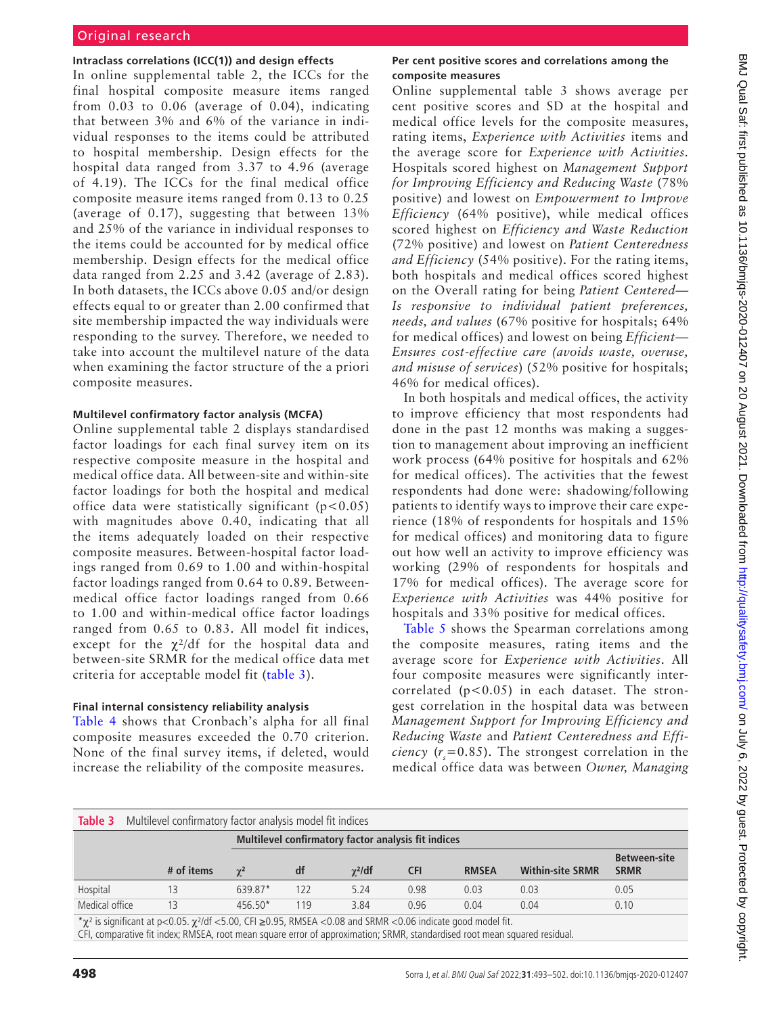# Original research

#### **Intraclass correlations (ICC(1)) and design effects**

In [online supplemental table 2](https://dx.doi.org/10.1136/bmjqs-2020-012407), the ICCs for the final hospital composite measure items ranged from 0.03 to 0.06 (average of 0.04), indicating that between 3% and 6% of the variance in individual responses to the items could be attributed to hospital membership. Design effects for the hospital data ranged from 3.37 to 4.96 (average of 4.19). The ICCs for the final medical office composite measure items ranged from 0.13 to 0.25 (average of 0.17), suggesting that between 13% and 25% of the variance in individual responses to the items could be accounted for by medical office membership. Design effects for the medical office data ranged from 2.25 and 3.42 (average of 2.83). In both datasets, the ICCs above 0.05 and/or design effects equal to or greater than 2.00 confirmed that site membership impacted the way individuals were responding to the survey. Therefore, we needed to take into account the multilevel nature of the data when examining the factor structure of the a priori composite measures.

#### **Multilevel confirmatory factor analysis (MCFA)**

[Online supplemental table 2](https://dx.doi.org/10.1136/bmjqs-2020-012407) displays standardised factor loadings for each final survey item on its respective composite measure in the hospital and medical office data. All between-site and within-site factor loadings for both the hospital and medical office data were statistically significant  $(p<0.05)$ with magnitudes above 0.40, indicating that all the items adequately loaded on their respective composite measures. Between-hospital factor loadings ranged from 0.69 to 1.00 and within-hospital factor loadings ranged from 0.64 to 0.89. Betweenmedical office factor loadings ranged from 0.66 to 1.00 and within-medical office factor loadings ranged from 0.65 to 0.83. All model fit indices, except for the  $\chi^2$ /df for the hospital data and between-site SRMR for the medical office data met criteria for acceptable model fit [\(table](#page-5-0) 3).

#### **Final internal consistency reliability analysis**

[Table](#page-6-0) 4 shows that Cronbach's alpha for all final composite measures exceeded the 0.70 criterion. None of the final survey items, if deleted, would increase the reliability of the composite measures.

## **Per cent positive scores and correlations among the composite measures**

[Online supplemental table 3](https://dx.doi.org/10.1136/bmjqs-2020-012407) shows average per cent positive scores and SD at the hospital and medical office levels for the composite measures, rating items, *Experience with Activities* items and the average score for *Experience with Activities*. Hospitals scored highest on *Management Support for Improving Efficiency and Reducing Waste* (78% positive) and lowest on *Empowerment to Improve Efficiency* (64% positive), while medical offices scored highest on *Efficiency and Waste Reduction* (72% positive) and lowest on *Patient Centeredness and Efficiency* (54% positive). For the rating items, both hospitals and medical offices scored highest on the Overall rating for being *Patient Centered— Is responsive to individual patient preferences, needs, and values* (67% positive for hospitals; 64% for medical offices) and lowest on being *Efficient— Ensures cost-effective care (avoids waste, overuse, and misuse of services*) (52% positive for hospitals; 46% for medical offices).

In both hospitals and medical offices, the activity to improve efficiency that most respondents had done in the past 12 months was making a suggestion to management about improving an inefficient work process (64% positive for hospitals and 62% for medical offices). The activities that the fewest respondents had done were: shadowing/following patients to identify ways to improve their care experience (18% of respondents for hospitals and 15% for medical offices) and monitoring data to figure out how well an activity to improve efficiency was working (29% of respondents for hospitals and 17% for medical offices). The average score for *Experience with Activities* was 44% positive for hospitals and 33% positive for medical offices.

[Table](#page-6-1) 5 shows the Spearman correlations among the composite measures, rating items and the average score for *Experience with Activities*. All four composite measures were significantly intercorrelated  $(p<0.05)$  in each dataset. The strongest correlation in the hospital data was between *Management Support for Improving Efficiency and Reducing Waste* and *Patient Centeredness and Efficiency* ( $r_s$ =0.85). The strongest correlation in the medical office data was between *Owner, Managing* 

<span id="page-5-0"></span>

|                                                                                                                                                                                                                            | <b>Table 3</b> Multilevel confirmatory factor analysis model fit indices |            |     |                |            |                                       |                         |                     |  |  |
|----------------------------------------------------------------------------------------------------------------------------------------------------------------------------------------------------------------------------|--------------------------------------------------------------------------|------------|-----|----------------|------------|---------------------------------------|-------------------------|---------------------|--|--|
|                                                                                                                                                                                                                            | Multilevel confirmatory factor analysis fit indices                      |            |     |                |            |                                       |                         |                     |  |  |
|                                                                                                                                                                                                                            |                                                                          |            |     |                |            |                                       |                         | <b>Between-site</b> |  |  |
|                                                                                                                                                                                                                            | # of items                                                               | $\gamma^2$ | df  | $\gamma^2$ /df | <b>CFI</b> | <b>RMSEA</b>                          | <b>Within-site SRMR</b> | <b>SRMR</b>         |  |  |
| Hospital                                                                                                                                                                                                                   |                                                                          | 639.87*    | 122 | 5.24           | 0.98       | 0.03                                  | 0.03                    | 0.05                |  |  |
| Medical office                                                                                                                                                                                                             | 13                                                                       | $456.50*$  | 119 | 3.84           | 0.96       | 0.04                                  | 0.04                    | 0.10                |  |  |
| $\mathcal{L} \times \mathcal{L} \times \mathcal{L}$ and $\mathcal{L} \times \mathcal{L}$ and $\mathcal{L} \times \mathcal{L}$ and $\mathcal{L} \times \mathcal{L}$ and $\mathcal{L} \times \mathcal{L} \times \mathcal{L}$ |                                                                          |            |     |                |            | $\mathbf{r}$ . The state $\mathbf{r}$ |                         |                     |  |  |

 $^{\star}\chi^2$  is significant at p<0.05.  $\chi^2$ /df <5.00, CFI ≥0.95, RMSEA <0.08 and SRMR <0.06 indicate good model fit.

CFI, comparative fit index; RMSEA, root mean square error of approximation; SRMR, standardised root mean squared residual.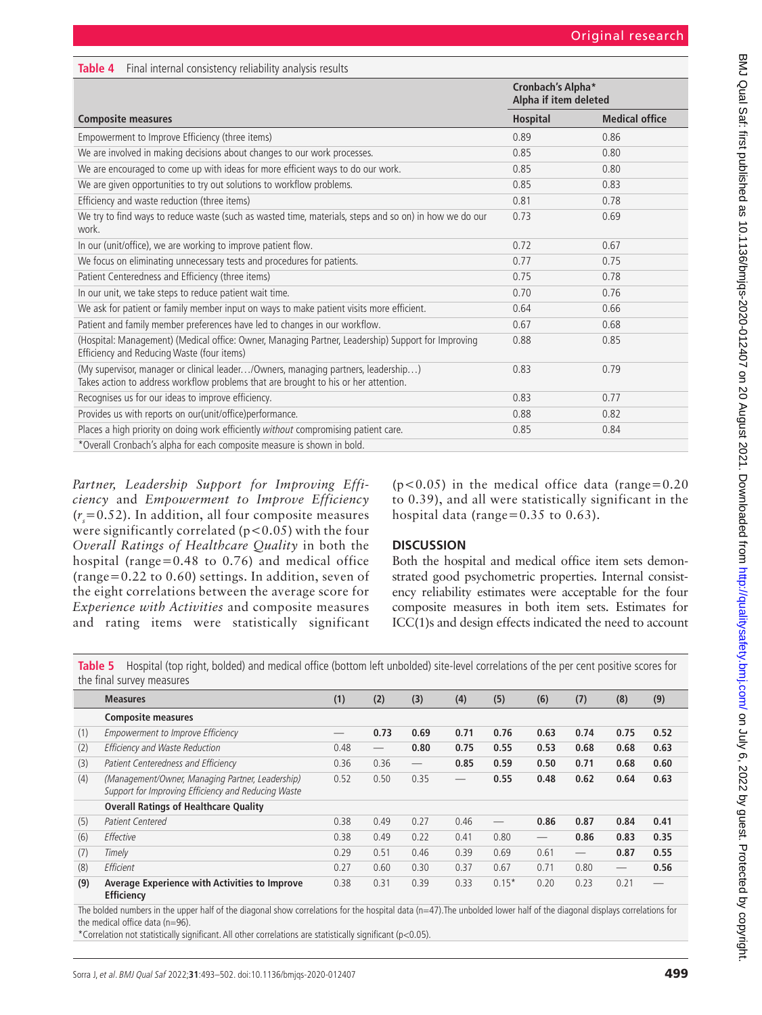<span id="page-6-0"></span>

| <b>Table 4</b> Final internal consistency reliability analysis results |  |  |  |
|------------------------------------------------------------------------|--|--|--|
|------------------------------------------------------------------------|--|--|--|

|                                                                                                                                                                          | Cronbach's Alpha*<br>Alpha if item deleted |                       |  |
|--------------------------------------------------------------------------------------------------------------------------------------------------------------------------|--------------------------------------------|-----------------------|--|
| <b>Composite measures</b>                                                                                                                                                | <b>Hospital</b>                            | <b>Medical office</b> |  |
| Empowerment to Improve Efficiency (three items)                                                                                                                          | 0.89                                       | 0.86                  |  |
| We are involved in making decisions about changes to our work processes.                                                                                                 | 0.85                                       | 0.80                  |  |
| We are encouraged to come up with ideas for more efficient ways to do our work.                                                                                          | 0.85                                       | 0.80                  |  |
| We are given opportunities to try out solutions to workflow problems.                                                                                                    | 0.85                                       | 0.83                  |  |
| Efficiency and waste reduction (three items)                                                                                                                             | 0.81                                       | 0.78                  |  |
| We try to find ways to reduce waste (such as wasted time, materials, steps and so on) in how we do our<br>work.                                                          | 0.73                                       | 0.69                  |  |
| In our (unit/office), we are working to improve patient flow.                                                                                                            | 0.72                                       | 0.67                  |  |
| We focus on eliminating unnecessary tests and procedures for patients.                                                                                                   | 0.77                                       | 0.75                  |  |
| Patient Centeredness and Efficiency (three items)                                                                                                                        | 0.75                                       | 0.78                  |  |
| In our unit, we take steps to reduce patient wait time.                                                                                                                  | 0.70                                       | 0.76                  |  |
| We ask for patient or family member input on ways to make patient visits more efficient.                                                                                 | 0.64                                       | 0.66                  |  |
| Patient and family member preferences have led to changes in our workflow.                                                                                               | 0.67                                       | 0.68                  |  |
| (Hospital: Management) (Medical office: Owner, Managing Partner, Leadership) Support for Improving<br>Efficiency and Reducing Waste (four items)                         | 0.88                                       | 0.85                  |  |
| (My supervisor, manager or clinical leader/Owners, managing partners, leadership)<br>Takes action to address workflow problems that are brought to his or her attention. | 0.83                                       | 0.79                  |  |
| Recognises us for our ideas to improve efficiency.                                                                                                                       | 0.83                                       | 0.77                  |  |
| Provides us with reports on our(unit/office)performance.                                                                                                                 | 0.88                                       | 0.82                  |  |
| Places a high priority on doing work efficiently without compromising patient care.                                                                                      | 0.85                                       | 0.84                  |  |
| *Overall Cronbach's alpha for each composite measure is shown in bold.                                                                                                   |                                            |                       |  |

*Partner, Leadership Support for Improving Efficiency* and *Empowerment to Improve Efficiency*  $(r<sub>s</sub>=0.52)$ . In addition, all four composite measures were significantly correlated  $(p<0.05)$  with the four *Overall Ratings of Healthcare Quality* in both the hospital (range=0.48 to 0.76) and medical office (range=0.22 to 0.60) settings. In addition, seven of the eight correlations between the average score for *Experience with Activities* and composite measures and rating items were statistically significant

 $(p<0.05)$  in the medical office data (range=0.20 to 0.39), and all were statistically significant in the hospital data (range= $0.35$  to  $0.63$ ).

# **DISCUSSION**

Both the hospital and medical office item sets demonstrated good psychometric properties. Internal consistency reliability estimates were acceptable for the four composite measures in both item sets. Estimates for ICC(1)s and design effects indicated the need to account

<span id="page-6-1"></span>**Table 5** Hospital (top right, bolded) and medical office (bottom left unbolded) site-level correlations of the per cent positive scores for the final survey measures

|     | <b>Measures</b>                                                                                         | (1)  | (2)  | (3)                             | (4)  | (5)     | (6)                      | (7)                             | (8)  | (9)  |
|-----|---------------------------------------------------------------------------------------------------------|------|------|---------------------------------|------|---------|--------------------------|---------------------------------|------|------|
|     | <b>Composite measures</b>                                                                               |      |      |                                 |      |         |                          |                                 |      |      |
| (1) | Empowerment to Improve Efficiency                                                                       |      | 0.73 | 0.69                            | 0.71 | 0.76    | 0.63                     | 0.74                            | 0.75 | 0.52 |
| (2) | Efficiency and Waste Reduction                                                                          | 0.48 |      | 0.80                            | 0.75 | 0.55    | 0.53                     | 0.68                            | 0.68 | 0.63 |
| (3) | Patient Centeredness and Efficiency                                                                     | 0.36 | 0.36 | $\hspace{0.1mm}-\hspace{0.1mm}$ | 0.85 | 0.59    | 0.50                     | 0.71                            | 0.68 | 0.60 |
| (4) | (Management/Owner, Managing Partner, Leadership)<br>Support for Improving Efficiency and Reducing Waste | 0.52 | 0.50 | 0.35                            |      | 0.55    | 0.48                     | 0.62                            | 0.64 | 0.63 |
|     | <b>Overall Ratings of Healthcare Quality</b>                                                            |      |      |                                 |      |         |                          |                                 |      |      |
| (5) | Patient Centered                                                                                        | 0.38 | 0.49 | 0.27                            | 0.46 | __      | 0.86                     | 0.87                            | 0.84 | 0.41 |
| (6) | Effective                                                                                               | 0.38 | 0.49 | 0.22                            | 0.41 | 0.80    | $\overline{\phantom{0}}$ | 0.86                            | 0.83 | 0.35 |
| (7) | Timely                                                                                                  | 0.29 | 0.51 | 0.46                            | 0.39 | 0.69    | 0.61                     | $\hspace{0.1mm}-\hspace{0.1mm}$ | 0.87 | 0.55 |
| (8) | Efficient                                                                                               | 0.27 | 0.60 | 0.30                            | 0.37 | 0.67    | 0.71                     | 0.80                            |      | 0.56 |
| (9) | Average Experience with Activities to Improve<br><b>Efficiency</b>                                      | 0.38 | 0.31 | 0.39                            | 0.33 | $0.15*$ | 0.20                     | 0.23                            | 0.21 |      |

The bolded numbers in the upper half of the diagonal show correlations for the hospital data (n=47). The unbolded lower half of the diagonal displays correlations for the medical office data (n=96).

\*Correlation not statistically significant. All other correlations are statistically significant (p<0.05).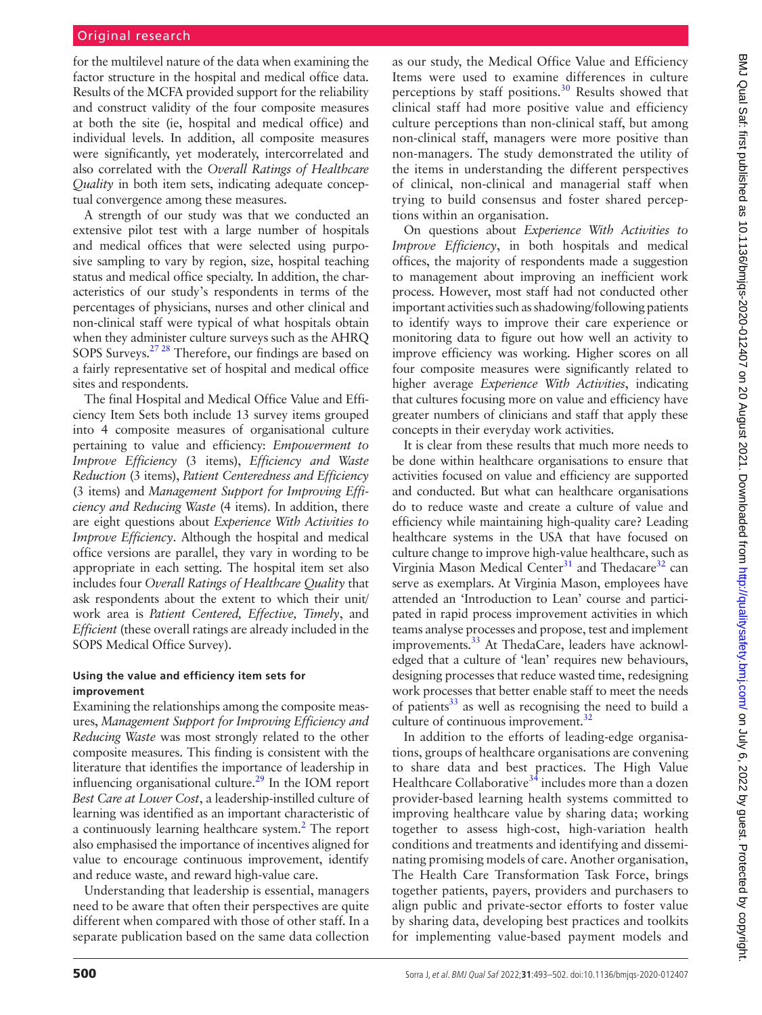for the multilevel nature of the data when examining the factor structure in the hospital and medical office data. Results of the MCFA provided support for the reliability and construct validity of the four composite measures at both the site (ie, hospital and medical office) and individual levels. In addition, all composite measures were significantly, yet moderately, intercorrelated and also correlated with the *Overall Ratings of Healthcare Quality* in both item sets, indicating adequate conceptual convergence among these measures.

A strength of our study was that we conducted an extensive pilot test with a large number of hospitals and medical offices that were selected using purposive sampling to vary by region, size, hospital teaching status and medical office specialty. In addition, the characteristics of our study's respondents in terms of the percentages of physicians, nurses and other clinical and non-clinical staff were typical of what hospitals obtain when they administer culture surveys such as the AHRQ SOPS Surveys[.27 28](#page-9-21) Therefore, our findings are based on a fairly representative set of hospital and medical office sites and respondents.

The final Hospital and Medical Office Value and Efficiency Item Sets both include 13 survey items grouped into 4 composite measures of organisational culture pertaining to value and efficiency: *Empowerment to Improve Efficiency* (3 items), *Efficiency and Waste Reduction* (3 items), *Patient Centeredness and Efficiency* (3 items) and *Management Support for Improving Efficiency and Reducing Waste* (4 items). In addition, there are eight questions about *Experience With Activities to Improve Efficiency*. Although the hospital and medical office versions are parallel, they vary in wording to be appropriate in each setting. The hospital item set also includes four *Overall Ratings of Healthcare Quality* that ask respondents about the extent to which their unit/ work area is *Patient Centered, Effective, Timely*, and *Efficient* (these overall ratings are already included in the SOPS Medical Office Survey).

# **Using the value and efficiency item sets for improvement**

Examining the relationships among the composite measures, *Management Support for Improving Efficiency and Reducing Waste* was most strongly related to the other composite measures. This finding is consistent with the literature that identifies the importance of leadership in influencing organisational culture.<sup>29</sup> In the IOM report *Best Care at Lower Cost*, a leadership-instilled culture of learning was identified as an important characteristic of a continuously learning healthcare system.<sup>2</sup> The report also emphasised the importance of incentives aligned for value to encourage continuous improvement, identify and reduce waste, and reward high-value care.

Understanding that leadership is essential, managers need to be aware that often their perspectives are quite different when compared with those of other staff. In a separate publication based on the same data collection

as our study, the Medical Office Value and Efficiency Items were used to examine differences in culture perceptions by staff positions. $30$  Results showed that clinical staff had more positive value and efficiency culture perceptions than non-clinical staff, but among non-clinical staff, managers were more positive than non-managers. The study demonstrated the utility of the items in understanding the different perspectives of clinical, non-clinical and managerial staff when trying to build consensus and foster shared perceptions within an organisation.

On questions about *Experience With Activities to Improve Efficiency*, in both hospitals and medical offices, the majority of respondents made a suggestion to management about improving an inefficient work process. However, most staff had not conducted other important activities such as shadowing/following patients to identify ways to improve their care experience or monitoring data to figure out how well an activity to improve efficiency was working. Higher scores on all four composite measures were significantly related to higher average *Experience With Activities*, indicating that cultures focusing more on value and efficiency have greater numbers of clinicians and staff that apply these concepts in their everyday work activities.

It is clear from these results that much more needs to be done within healthcare organisations to ensure that activities focused on value and efficiency are supported and conducted. But what can healthcare organisations do to reduce waste and create a culture of value and efficiency while maintaining high-quality care? Leading healthcare systems in the USA that have focused on culture change to improve high-value healthcare, such as Virginia Mason Medical Center<sup>31</sup> and Thedacare<sup>32</sup> can serve as exemplars. At Virginia Mason, employees have attended an 'Introduction to Lean' course and participated in rapid process improvement activities in which teams analyse processes and propose, test and implement improvements.<sup>33</sup> At ThedaCare, leaders have acknowledged that a culture of 'lean' requires new behaviours, designing processes that reduce wasted time, redesigning work processes that better enable staff to meet the needs of patients $33$  as well as recognising the need to build a culture of continuous improvement.<sup>32</sup>

In addition to the efforts of leading-edge organisations, groups of healthcare organisations are convening to share data and best practices. The High Value Healthcare Collaborative<sup>34</sup> includes more than a dozen provider-based learning health systems committed to improving healthcare value by sharing data; working together to assess high-cost, high-variation health conditions and treatments and identifying and disseminating promising models of care. Another organisation, The Health Care Transformation Task Force, brings together patients, payers, providers and purchasers to align public and private-sector efforts to foster value by sharing data, developing best practices and toolkits for implementing value-based payment models and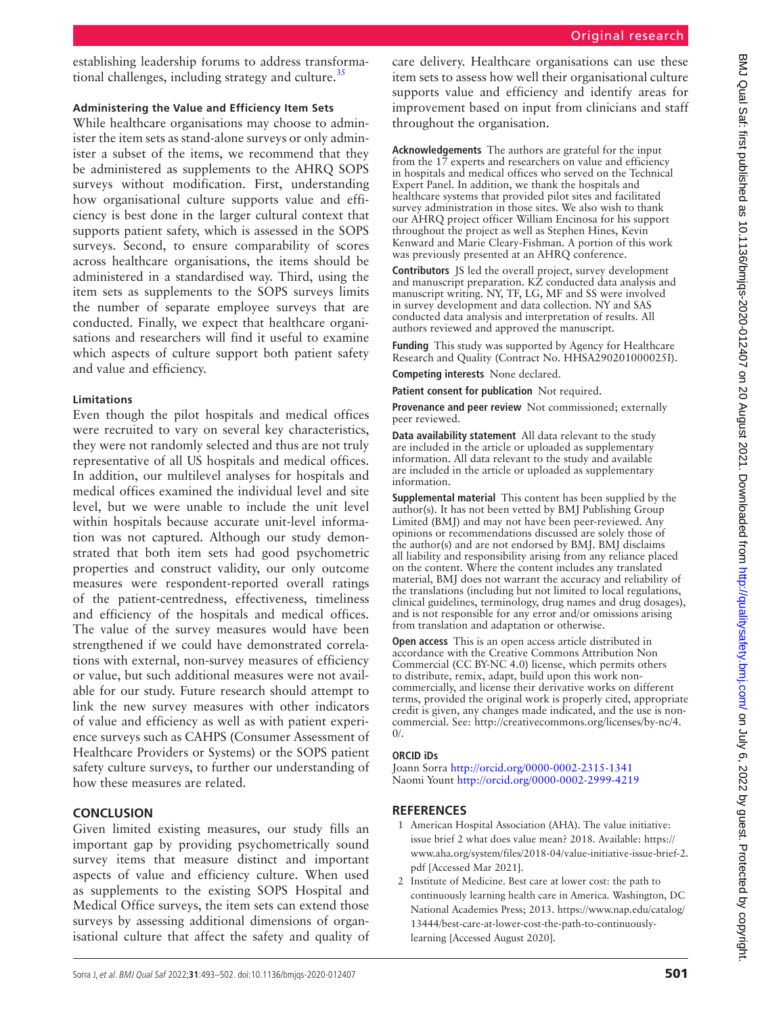establishing leadership forums to address transformational challenges, including strategy and culture.<sup>35</sup>

# **Administering the Value and Efficiency Item Sets**

While healthcare organisations may choose to administer the item sets as stand-alone surveys or only administer a subset of the items, we recommend that they be administered as supplements to the AHRQ SOPS surveys without modification. First, understanding how organisational culture supports value and efficiency is best done in the larger cultural context that supports patient safety, which is assessed in the SOPS surveys. Second, to ensure comparability of scores across healthcare organisations, the items should be administered in a standardised way. Third, using the item sets as supplements to the SOPS surveys limits the number of separate employee surveys that are conducted. Finally, we expect that healthcare organisations and researchers will find it useful to examine which aspects of culture support both patient safety and value and efficiency.

## **Limitations**

Even though the pilot hospitals and medical offices were recruited to vary on several key characteristics, they were not randomly selected and thus are not truly representative of all US hospitals and medical offices. In addition, our multilevel analyses for hospitals and medical offices examined the individual level and site level, but we were unable to include the unit level within hospitals because accurate unit-level information was not captured. Although our study demonstrated that both item sets had good psychometric properties and construct validity, our only outcome measures were respondent-reported overall ratings of the patient-centredness, effectiveness, timeliness and efficiency of the hospitals and medical offices. The value of the survey measures would have been strengthened if we could have demonstrated correlations with external, non-survey measures of efficiency or value, but such additional measures were not available for our study. Future research should attempt to link the new survey measures with other indicators of value and efficiency as well as with patient experience surveys such as CAHPS (Consumer Assessment of Healthcare Providers or Systems) or the SOPS patient safety culture surveys, to further our understanding of how these measures are related.

# **CONCLUSION**

Given limited existing measures, our study fills an important gap by providing psychometrically sound survey items that measure distinct and important aspects of value and efficiency culture. When used as supplements to the existing SOPS Hospital and Medical Office surveys, the item sets can extend those surveys by assessing additional dimensions of organisational culture that affect the safety and quality of

care delivery. Healthcare organisations can use these item sets to assess how well their organisational culture supports value and efficiency and identify areas for improvement based on input from clinicians and staff throughout the organisation.

**Acknowledgements** The authors are grateful for the input from the 17 experts and researchers on value and efficiency in hospitals and medical offices who served on the Technical Expert Panel. In addition, we thank the hospitals and healthcare systems that provided pilot sites and facilitated survey administration in those sites. We also wish to thank our AHRQ project officer William Encinosa for his support throughout the project as well as Stephen Hines, Kevin Kenward and Marie Cleary-Fishman. A portion of this work was previously presented at an AHRQ conference.

**Contributors** JS led the overall project, survey development and manuscript preparation. KZ conducted data analysis and manuscript writing. NY, TF, LG, MF and SS were involved in survey development and data collection. NY and SAS conducted data analysis and interpretation of results. All authors reviewed and approved the manuscript.

**Funding** This study was supported by Agency for Healthcare Research and Quality (Contract No. HHSA290201000025I).

**Competing interests** None declared.

**Patient consent for publication** Not required.

**Provenance and peer review** Not commissioned; externally peer reviewed.

**Data availability statement** All data relevant to the study are included in the article or uploaded as supplementary information. All data relevant to the study and available are included in the article or uploaded as supplementary information.

**Supplemental material** This content has been supplied by the author(s). It has not been vetted by BMJ Publishing Group Limited (BMJ) and may not have been peer-reviewed. Any opinions or recommendations discussed are solely those of the author(s) and are not endorsed by BMJ. BMJ disclaims all liability and responsibility arising from any reliance placed on the content. Where the content includes any translated material, BMJ does not warrant the accuracy and reliability of the translations (including but not limited to local regulations, clinical guidelines, terminology, drug names and drug dosages), and is not responsible for any error and/or omissions arising from translation and adaptation or otherwise.

**Open access** This is an open access article distributed in accordance with the Creative Commons Attribution Non Commercial (CC BY-NC 4.0) license, which permits others to distribute, remix, adapt, build upon this work noncommercially, and license their derivative works on different terms, provided the original work is properly cited, appropriate credit is given, any changes made indicated, and the use is noncommercial. See: [http://creativecommons.org/licenses/by-nc/4.](http://creativecommons.org/licenses/by-nc/4.0/)  $0/$ .

## **ORCID iDs**

Joann Sorra<http://orcid.org/0000-0002-2315-1341> Naomi Yount<http://orcid.org/0000-0002-2999-4219>

# **REFERENCES**

- <span id="page-8-0"></span>1 American Hospital Association (AHA). The value initiative: issue brief 2 what does value mean? 2018. Available: [https://](https://www.aha.org/system/files/2018-04/value-initiative-issue-brief-2.pdf) [www.aha.org/system/files/2018-04/value-initiative-issue-brief-2.](https://www.aha.org/system/files/2018-04/value-initiative-issue-brief-2.pdf) [pdf](https://www.aha.org/system/files/2018-04/value-initiative-issue-brief-2.pdf) [Accessed Mar 2021].
- <span id="page-8-1"></span>2 Institute of Medicine. Best care at lower cost: the path to continuously learning health care in America. Washington, DC National Academies Press; 2013. [https://www.nap.edu/catalog/](https://www.nap.edu/catalog/13444/best-care-at-lower-cost-the-path-to-continuously-learning) [13444/best-care-at-lower-cost-the-path-to-continuously](https://www.nap.edu/catalog/13444/best-care-at-lower-cost-the-path-to-continuously-learning)[learning](https://www.nap.edu/catalog/13444/best-care-at-lower-cost-the-path-to-continuously-learning) [Accessed August 2020].